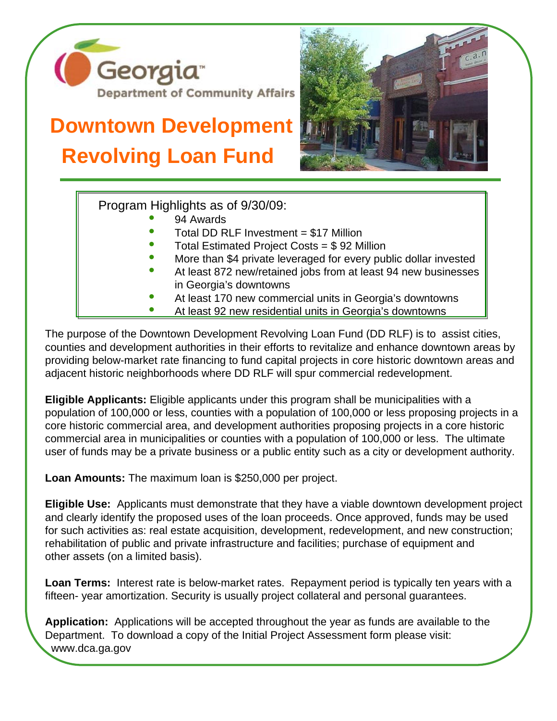

## **Downtown Development Revolving Loan Fund**



Program Highlights as of 9/30/09:

- 94 Awards
- Total DD RLF Investment = \$17 Million
- Total Estimated Project Costs = \$ 92 Million
- More than \$4 private leveraged for every public dollar invested
- At least 872 new/retained jobs from at least 94 new businesses in Georgia's downtowns
- At least 170 new commercial units in Georgia's downtowns
- At least 92 new residential units in Georgia's downtowns

The purpose of the Downtown Development Revolving Loan Fund (DD RLF) is to assist cities, counties and development authorities in their efforts to revitalize and enhance downtown areas by providing below-market rate financing to fund capital projects in core historic downtown areas and adjacent historic neighborhoods where DD RLF will spur commercial redevelopment.

**Eligible Applicants:** Eligible applicants under this program shall be municipalities with a population of 100,000 or less, counties with a population of 100,000 or less proposing projects in a core historic commercial area, and development authorities proposing projects in a core historic commercial area in municipalities or counties with a population of 100,000 or less. The ultimate user of funds may be a private business or a public entity such as a city or development authority.

**Loan Amounts:** The maximum loan is \$250,000 per project.

**Eligible Use:** Applicants must demonstrate that they have a viable downtown development project and clearly identify the proposed uses of the loan proceeds. Once approved, funds may be used for such activities as: real estate acquisition, development, redevelopment, and new construction; rehabilitation of public and private infrastructure and facilities; purchase of equipment and other assets (on a limited basis).

**Loan Terms:** Interest rate is below-market rates. Repayment period is typically ten years with a fifteen- year amortization. Security is usually project collateral and personal guarantees.

**Application:** Applications will be accepted throughout the year as funds are available to the Department. To download a copy of the Initial Project Assessment form please visit: www.dca.ga.gov